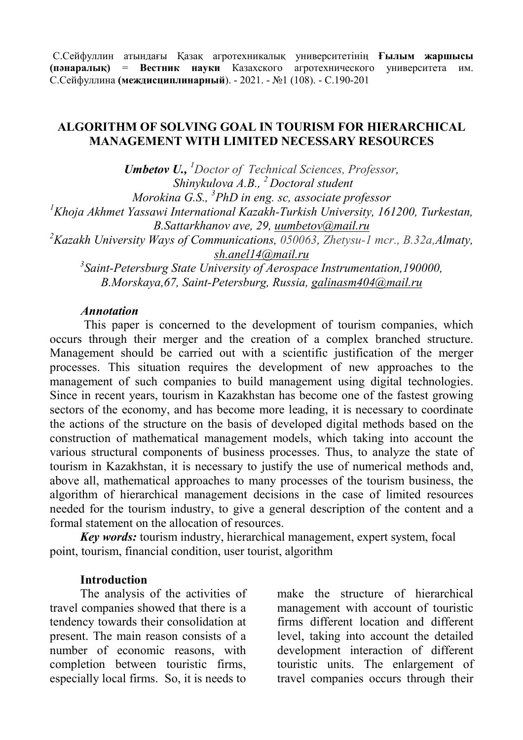С.Сейфуллин атындағы Қазақ агротехникалық университетінің **Ғылым жаршысы (пәнаралық)** = **Вестник науки** Казахского агротехнического университета им. С.Сейфуллина **(междисциплинарный**). - 2021. - №1 (108). - С.190-201

## **ALGORITHM OF SOLVING GOAL IN TOURISM FOR HIERARCHICAL MANAGEMENT WITH LIMITED NECESSARY RESOURCES**

*Umbetov U., <sup>1</sup>Doctor of Technical Sciences, Professor, Shinykulova A.B., <sup>2</sup>Doctoral student Morokina G.S., 3 PhD in eng. sc, associate professor <sup>1</sup>Khoja Akhmet Yassawi International Kazakh-Turkish University, 161200, Turkestan, B.Sattarkhanov ave, 29, [uumbetov@mail.ru](mailto:uumbetov@mail.ru) <sup>2</sup>Kazakh University Ways of Communications, 050063, Zhetysu-1 mcr., B.32а,Almaty, [sh.anel14@mail.ru](mailto:sh.anel14@mail.ru) 3 Saint-Petersburg State University of Aerospace Instrumentation,190000, B.Morskaya,67, Saint-Petersburg, Russia, [galinasm404@mail.ru](mailto:galinasm404@mail.ru)*

#### *Annotation*

This paper is concerned to the development of tourism companies, which occurs through their merger and the creation of a complex branched structure. Management should be carried out with a scientific justification of the merger processes. This situation requires the development of new approaches to the management of such companies to build management using digital technologies. Since in recent years, tourism in Kazakhstan has become one of the fastest growing sectors of the economy, and has become more leading, it is necessary to coordinate the actions of the structure on the basis of developed digital methods based on the construction of mathematical management models, which taking into account the various structural components of business processes. Thus, to analyze the state of tourism in Kazakhstan, it is necessary to justify the use of numerical methods and, above all, mathematical approaches to many processes of the tourism business, the algorithm of hierarchical management decisions in the case of limited resources needed for the tourism industry, to give a general description of the content and a formal statement on the allocation of resources.

*Key words:* tourism industry, hierarchical management, expert system, focal point, tourism, financial condition, user tourist, algorithm

#### **Introduction**

The analysis of the activities of travel companies showed that there is a tendency towards their consolidation at present. The main reason consists of a number of economic reasons, with completion between touristic firms, especially local firms. So, it is needs to

make the structure of hierarchical management with account of touristic firms different location and different level, taking into account the detailed development interaction of different touristic units. The enlargement of travel companies occurs through their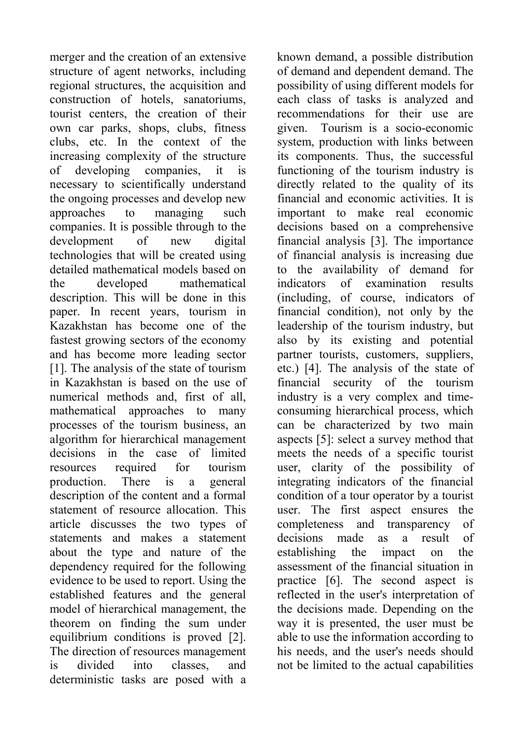merger and the creation of an extensive structure of agent networks, including regional structures, the acquisition and construction of hotels, sanatoriums, tourist centers, the creation of their own car parks, shops, clubs, fitness clubs, etc. In the context of the increasing complexity of the structure of developing companies, it is necessary to scientifically understand the ongoing processes and develop new approaches to managing such companies. It is possible through to the development of new digital technologies that will be created using detailed mathematical models based on the developed mathematical description. This will be done in this paper. In recent years, tourism in Kazakhstan has become one of the fastest growing sectors of the economy and has become more leading sector [1]. The analysis of the state of tourism in Kazakhstan is based on the use of numerical methods and, first of all, mathematical approaches to many processes of the tourism business, an algorithm for hierarchical management decisions in the case of limited resources required for tourism production. There is a general description of the content and a formal statement of resource allocation. This article discusses the two types of statements and makes a statement about the type and nature of the dependency required for the following evidence to be used to report. Using the established features and the general model of hierarchical management, the theorem on finding the sum under equilibrium conditions is proved [2]. The direction of resources management is divided into classes, and deterministic tasks are posed with a

known demand, a possible distribution of demand and dependent demand. The possibility of using different models for each class of tasks is analyzed and recommendations for their use are given. Tourism is a socio-economic system, production with links between its components. Thus, the successful functioning of the tourism industry is directly related to the quality of its financial and economic activities. It is important to make real economic decisions based on a comprehensive financial analysis [3]. The importance of financial analysis is increasing due to the availability of demand for indicators of examination results (including, of course, indicators of financial condition), not only by the leadership of the tourism industry, but also by its existing and potential partner tourists, customers, suppliers, etc.) [4]. The analysis of the state of financial security of the tourism industry is a very complex and timeconsuming hierarchical process, which can be characterized by two main aspects [5]: select a survey method that meets the needs of a specific tourist user, clarity of the possibility of integrating indicators of the financial condition of a tour operator by a tourist user. The first aspect ensures the completeness and transparency of decisions made as a result of establishing the impact on the assessment of the financial situation in practice [6]. The second aspect is reflected in the user's interpretation of the decisions made. Depending on the way it is presented, the user must be able to use the information according to his needs, and the user's needs should not be limited to the actual capabilities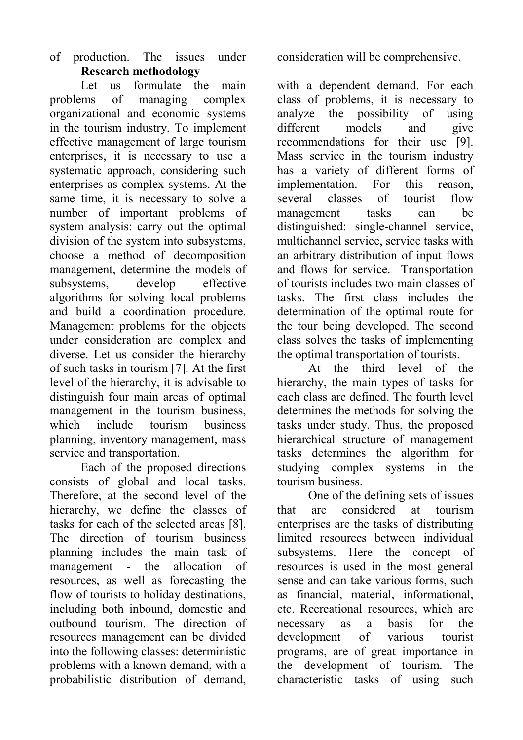## of production. The issues under consideration will be comprehensive. **Research methodology**

Let us formulate the main problems of managing complex organizational and economic systems in the tourism industry. To implement effective management of large tourism enterprises, it is necessary to use a systematic approach, considering such enterprises as complex systems. At the same time, it is necessary to solve a number of important problems of system analysis: carry out the optimal division of the system into subsystems, choose a method of decomposition management, determine the models of subsystems, develop effective algorithms for solving local problems and build a coordination procedure. Management problems for the objects under consideration are complex and diverse. Let us consider the hierarchy of such tasks in tourism [7]. At the first level of the hierarchy, it is advisable to distinguish four main areas of optimal management in the tourism business, which include tourism business planning, inventory management, mass service and transportation.

Each of the proposed directions consists of global and local tasks. Therefore, at the second level of the hierarchy, we define the classes of tasks for each of the selected areas [8]. The direction of tourism business planning includes the main task of management - the allocation of resources, as well as forecasting the flow of tourists to holiday destinations, including both inbound, domestic and outbound tourism. The direction of resources management can be divided into the following classes: deterministic problems with a known demand, with a probabilistic distribution of demand,

with a dependent demand. For each class of problems, it is necessary to analyze the possibility of using different models and give recommendations for their use [9]. Mass service in the tourism industry has a variety of different forms of implementation. For this reason, several classes of tourist flow management tasks can be distinguished: single-channel service, multichannel service, service tasks with an arbitrary distribution of input flows and flows for service. Transportation of tourists includes two main classes of tasks. The first class includes the determination of the optimal route for the tour being developed. The second class solves the tasks of implementing the optimal transportation of tourists.

At the third level of the hierarchy, the main types of tasks for each class are defined. The fourth level determines the methods for solving the tasks under study. Thus, the proposed hierarchical structure of management tasks determines the algorithm for studying complex systems in the tourism business.

One of the defining sets of issues that are considered at tourism enterprises are the tasks of distributing limited resources between individual subsystems. Here the concept of resources is used in the most general sense and can take various forms, such as financial, material, informational, etc. Recreational resources, which are necessary as a basis for the development of various tourist programs, are of great importance in the development of tourism. The characteristic tasks of using such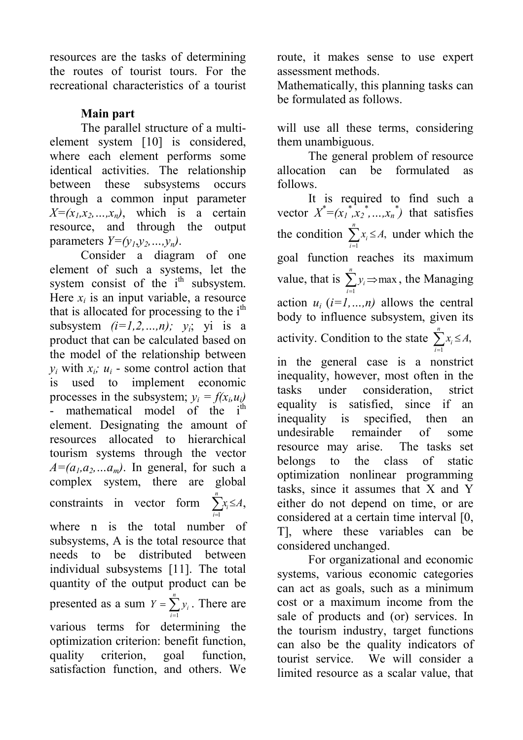resources are the tasks of determining the routes of tourist tours. For the recreational characteristics of a tourist

# **Main part**

The parallel structure of a multielement system [10] is considered, where each element performs some identical activities. The relationship between these subsystems occurs through a common input parameter  $X=(x_1, x_2, ..., x_n)$ , which is a certain resource, and through the output parameters  $Y=(y_1, y_2, \ldots, y_n)$ .

Consider a diagram of one element of such a systems, let the system consist of the  $i<sup>th</sup>$  subsystem. Here  $x_i$  is an input variable, a resource that is allocated for processing to the  $i<sup>th</sup>$ subsystem  $(i=1,2,...,n)$ ;  $y_i$ ; yi is a product that can be calculated based on the model of the relationship between *y*<sub>*i*</sub> with  $x_i$ *; u<sub>i</sub>* - some control action that is used to implement economic processes in the subsystem;  $y_i = f(x_i, u_i)$ - mathematical model of the i<sup>th</sup> element. Designating the amount of resources allocated to hierarchical tourism systems through the vector  $A=(a_1, a_2, \ldots, a_m)$ . In general, for such a complex system, there are global constraints in vector form  $\sum_{i=1} x_i \leq$ *n i*  $x_i \leq A$ 1 , where n is the total number of subsystems, A is the total resource that needs to be distributed between individual subsystems [11]. The total quantity of the output product can be presented as a sum  $Y = \sum_{i=1}^{n}$ *i*  $Y = \sum y_i$ 1 . There are various terms for determining the optimization criterion: benefit function, quality criterion, goal function, satisfaction function, and others. We

route, it makes sense to use expert assessment methods.

Mathematically, this planning tasks can be formulated as follows.

will use all these terms, considering them unambiguous.

The general problem of resource allocation can be formulated as follows.

It is required to find such a vector  $X^*=(x_1^*, x_2^*, \ldots, x_n^*)$  that satisfies the condition  $\sum_{i=1}^n x_i \leq$ *n i*  $x_i \leq A$ 1 , under which the goal function reaches its maximum value, that is  $\sum_{i=1}^{n} y_i \Rightarrow$ *n i i у* 1 max , the Managing action  $u_i$   $(i=1,...,n)$  allows the central body to influence subsystem, given its activity. Condition to the state  $\sum_{i=1}^{n} x_i \leq$ *n i*  $x_i \leq A$ 1 , in the general case is a nonstrict inequality, however, most often in the tasks under consideration, strict equality is satisfied, since if an inequality is specified, then an undesirable remainder of some resource may arise. The tasks set belongs to the class of static optimization nonlinear programming tasks, since it assumes that X and Y either do not depend on time, or are considered at a certain time interval [0, T], where these variables can be considered unchanged.

For organizational and economic systems, various economic categories can act as goals, such as a minimum cost or a maximum income from the sale of products and (or) services. In the tourism industry, target functions can also be the quality indicators of tourist service. We will consider a limited resource as a scalar value, that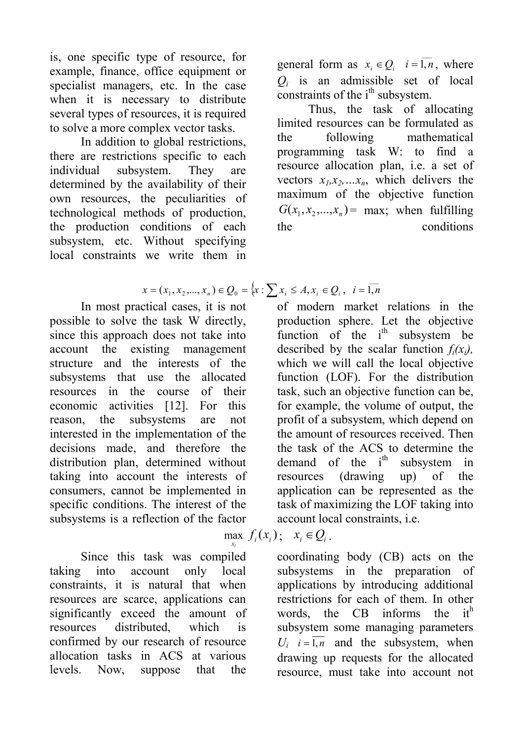is, one specific type of resource, for example, finance, office equipment or specialist managers, etc. In the case when it is necessary to distribute several types of resources, it is required to solve a more complex vector tasks.

In addition to global restrictions, there are restrictions specific to each individual subsystem. They are determined by the availability of their own resources, the peculiarities of technological methods of production, the production conditions of each subsystem, etc. Without specifying local constraints we write them in

general form as  $x_i \in Q_i$   $i = \overline{1, n}$ , where  $Q_i$  is an admissible set of local constraints of the  $i<sup>th</sup>$  subsystem.

Thus, the task of allocating limited resources can be formulated as the following mathematical programming task W: to find a resource allocation plan, i.e. a set of vectors  $x_1, x_2, \ldots, x_n$ , which delivers the maximum of the objective function  $G(x_1, x_2,...,x_n)$  = max; when fulfilling the conditions

$$
x = (x_1, x_2, ..., x_n) \in Q_0 = \{x : \sum x_i \le A, x_i \in Q_i, \ i = \overline{1, n}
$$

In most practical cases, it is not possible to solve the task W directly, since this approach does not take into account the existing management structure and the interests of the subsystems that use the allocated resources in the course of their economic activities [12]. For this reason, the subsystems are not interested in the implementation of the decisions made, and therefore the distribution plan, determined without taking into account the interests of consumers, cannot be implemented in specific conditions. The interest of the subsystems is a reflection of the factor

*i* Since this task was compiled taking into account only local constraints, it is natural that when resources are scarce, applications can significantly exceed the amount of resources distributed, which is confirmed by our research of resource allocation tasks in ACS at various levels. Now, suppose that the

of modern market relations in the production sphere. Let the objective function of the  $i<sup>th</sup>$  subsystem be described by the scalar function  $f_i(x_i)$ , which we will call the local objective function (LOF). For the distribution task, such an objective function can be, for example, the volume of output, the profit of a subsystem, which depend on the amount of resources received. Then the task of the ACS to determine the demand of the  $i<sup>th</sup>$  subsystem in resources (drawing up) of the application can be represented as the task of maximizing the LOF taking into account local constraints, i.e.

#### *x* max  $f_i(x_i)$ ;  $x_i \in Q_i$ .

coordinating body (CB) acts on the subsystems in the preparation of applications by introducing additional restrictions for each of them. In other words, the  $CB$  informs the  $it<sup>h</sup>$ subsystem some managing parameters  $U_i$   $i = \overline{1, n}$  and the subsystem, when drawing up requests for the allocated resource, must take into account not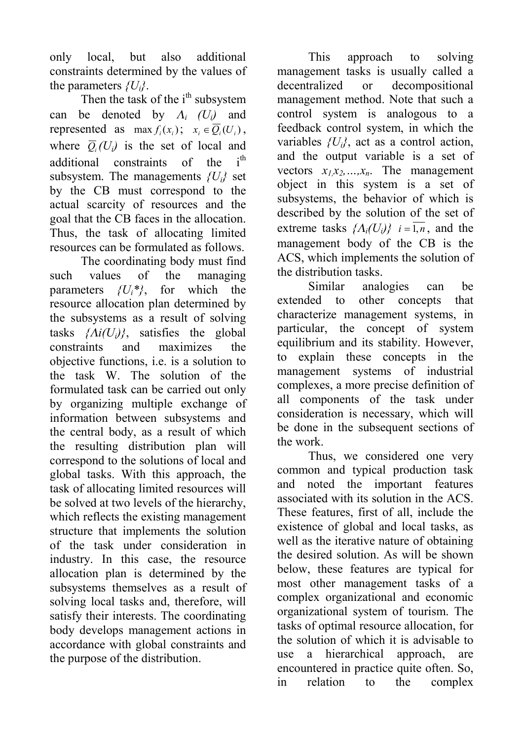only local, but also additional constraints determined by the values of the parameters *{Ui}*.

Then the task of the  $i<sup>th</sup>$  subsystem can be denoted by  $\Lambda_i$  (U<sub>i</sub>) and represented as  $\max f_i(x_i)$ ;  $x_i \in \overline{Q_i}(U_i)$ , where  $\overline{Q}_i(U_i)$  is the set of local and additional constraints of the i<sup>th</sup> subsystem. The managements  ${U_i}$  set by the CB must correspond to the actual scarcity of resources and the goal that the CB faces in the allocation. Thus, the task of allocating limited resources can be formulated as follows.

The coordinating body must find such values of the managing parameters  $\{U_i^*\}$ , for which the resource allocation plan determined by the subsystems as a result of solving tasks  $\{Ai(U_i)\}$ , satisfies the global constraints and maximizes the objective functions, i.e. is a solution to the task W. The solution of the formulated task can be carried out only by organizing multiple exchange of information between subsystems and the central body, as a result of which the resulting distribution plan will correspond to the solutions of local and global tasks. With this approach, the task of allocating limited resources will be solved at two levels of the hierarchy, which reflects the existing management structure that implements the solution of the task under consideration in industry. In this case, the resource allocation plan is determined by the subsystems themselves as a result of solving local tasks and, therefore, will satisfy their interests. The coordinating body develops management actions in accordance with global constraints and the purpose of the distribution.

This approach to solving management tasks is usually called a decentralized or decompositional management method. Note that such a control system is analogous to a feedback control system, in which the variables *{Ui}*, act as a control action, and the output variable is a set of vectors  $x_1x_2,...,x_n$ . The management object in this system is a set of subsystems, the behavior of which is described by the solution of the set of extreme tasks  $\{\Lambda_i(U_i)\}\$   $i = \overline{1, n}$ , and the management body of the CB is the ACS, which implements the solution of the distribution tasks.

Similar analogies can be extended to other concepts that characterize management systems, in particular, the concept of system equilibrium and its stability. However, to explain these concepts in the management systems of industrial complexes, a more precise definition of all components of the task under consideration is necessary, which will be done in the subsequent sections of the work.

Thus, we considered one very common and typical production task and noted the important features associated with its solution in the ACS. These features, first of all, include the existence of global and local tasks, as well as the iterative nature of obtaining the desired solution. As will be shown below, these features are typical for most other management tasks of a complex organizational and economic organizational system of tourism. The tasks of optimal resource allocation, for the solution of which it is advisable to use a hierarchical approach, are encountered in practice quite often. So, in relation to the complex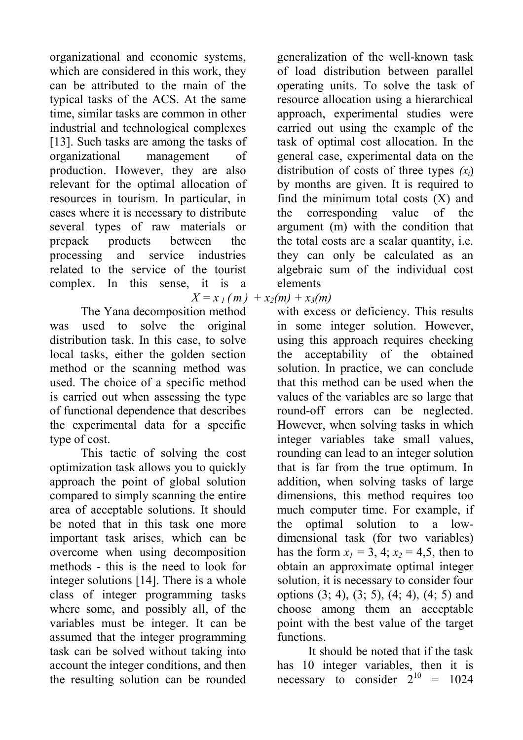organizational and economic systems, which are considered in this work, they can be attributed to the main of the typical tasks of the ACS. At the same time, similar tasks are common in other industrial and technological complexes [13]. Such tasks are among the tasks of organizational management of production. However, they are also relevant for the optimal allocation of resources in tourism. In particular, in cases where it is necessary to distribute several types of raw materials or prepack products between the processing and service industries related to the service of the tourist complex. In this sense, it is a

The Yana decomposition method was used to solve the original distribution task. In this case, to solve local tasks, either the golden section method or the scanning method was used. The choice of a specific method is carried out when assessing the type of functional dependence that describes the experimental data for a specific type of cost.

This tactic of solving the cost optimization task allows you to quickly approach the point of global solution compared to simply scanning the entire area of acceptable solutions. It should be noted that in this task one more important task arises, which can be overcome when using decomposition methods - this is the need to look for integer solutions [14]. There is a whole class of integer programming tasks where some, and possibly all, of the variables must be integer. It can be assumed that the integer programming task can be solved without taking into account the integer conditions, and then the resulting solution can be rounded

generalization of the well-known task of load distribution between parallel operating units. To solve the task of resource allocation using a hierarchical approach, experimental studies were carried out using the example of the task of optimal cost allocation. In the general case, experimental data on the distribution of costs of three types *(хi*) by months are given. It is required to find the minimum total costs  $(X)$  and the corresponding value of the argument (m) with the condition that the total costs are a scalar quantity, i.e. they can only be calculated as an algebraic sum of the individual cost elements

 $X = x_1$  *(m*) +  $x_2$  *(m)* +  $x_3$  *(m)* 

with excess or deficiency. This results in some integer solution. However, using this approach requires checking the acceptability of the obtained solution. In practice, we can conclude that this method can be used when the values of the variables are so large that round-off errors can be neglected. However, when solving tasks in which integer variables take small values, rounding can lead to an integer solution that is far from the true optimum. In addition, when solving tasks of large dimensions, this method requires too much computer time. For example, if the optimal solution to a lowdimensional task (for two variables) has the form  $x_1 = 3$ , 4;  $x_2 = 4.5$ , then to obtain an approximate optimal integer solution, it is necessary to consider four options  $(3, 4)$ ,  $(3, 5)$ ,  $(4, 4)$ ,  $(4, 5)$  and choose among them an acceptable point with the best value of the target functions.

It should be noted that if the task has 10 integer variables, then it is necessary to consider  $2^{10} = 1024$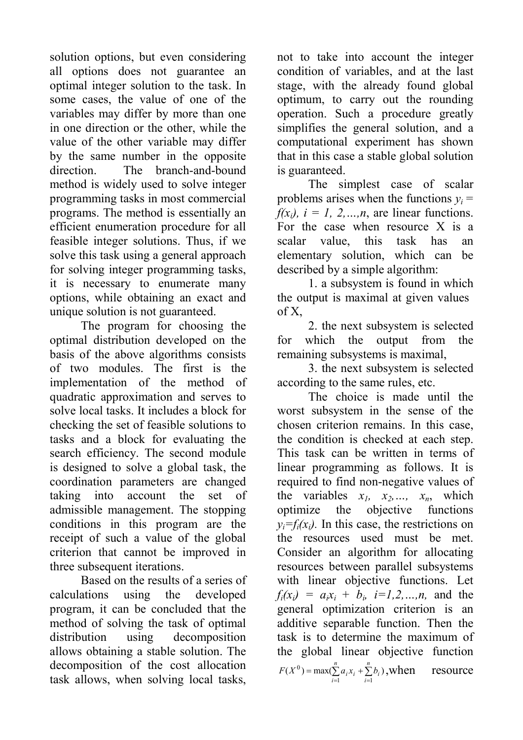solution options, but even considering all options does not guarantee an optimal integer solution to the task. In some cases, the value of one of the variables may differ by more than one in one direction or the other, while the value of the other variable may differ by the same number in the opposite direction. The branch-and-bound method is widely used to solve integer programming tasks in most commercial programs. The method is essentially an efficient enumeration procedure for all feasible integer solutions. Thus, if we solve this task using a general approach for solving integer programming tasks, it is necessary to enumerate many options, while obtaining an exact and unique solution is not guaranteed.

The program for choosing the optimal distribution developed on the basis of the above algorithms consists of two modules. The first is the implementation of the method of quadratic approximation and serves to solve local tasks. It includes a block for checking the set of feasible solutions to tasks and a block for evaluating the search efficiency. The second module is designed to solve a global task, the coordination parameters are changed taking into account the set of admissible management. The stopping conditions in this program are the receipt of such a value of the global criterion that cannot be improved in three subsequent iterations.

Based on the results of a series of calculations using the developed program, it can be concluded that the method of solving the task of optimal distribution using decomposition allows obtaining a stable solution. The decomposition of the cost allocation task allows, when solving local tasks,

not to take into account the integer condition of variables, and at the last stage, with the already found global optimum, to carry out the rounding operation. Such a procedure greatly simplifies the general solution, and a computational experiment has shown that in this case a stable global solution is guaranteed.

The simplest case of scalar problems arises when the functions  $y_i =$  $f(x_i)$ ,  $i = 1, 2, \ldots, n$ , are linear functions. For the case when resource X is a scalar value, this task has an elementary solution, which can be described by a simple algorithm:

1. a subsystem is found in which the output is maximal at given values of X,

2. the next subsystem is selected for which the output from the remaining subsystems is maximal,

3. the next subsystem is selected according to the same rules, etc.

The choice is made until the worst subsystem in the sense of the chosen criterion remains. In this case, the condition is checked at each step. This task can be written in terms of linear programming as follows. It is required to find non-negative values of the variables  $x_1$ ,  $x_2$ ,  $x_n$ , which optimize the objective functions  $y_i = f_i(x_i)$ . In this case, the restrictions on the resources used must be met. Consider an algorithm for allocating resources between parallel subsystems with linear objective functions. Let  $f_i(x_i) = a_i x_i + b_i$ ,  $i=1,2,...,n$ , and the general optimization criterion is an additive separable function. Then the task is to determine the maximum of the global linear objective function  $(X^0)$  = max $(\sum a_i x_i + \sum b_i)$ <sup>0</sup>) = max( $\sum_{i=1}^{n} a_i x_i + \sum_{i=1}^{n} a_i$  $= max(\sum_{i=1}^{n} a_i x_i +$ *i n*  $F(X^0) = \max(\sum_{i=1}^{n} a_i x_i + \sum_{i=1}^{n} b_i)$ , when resource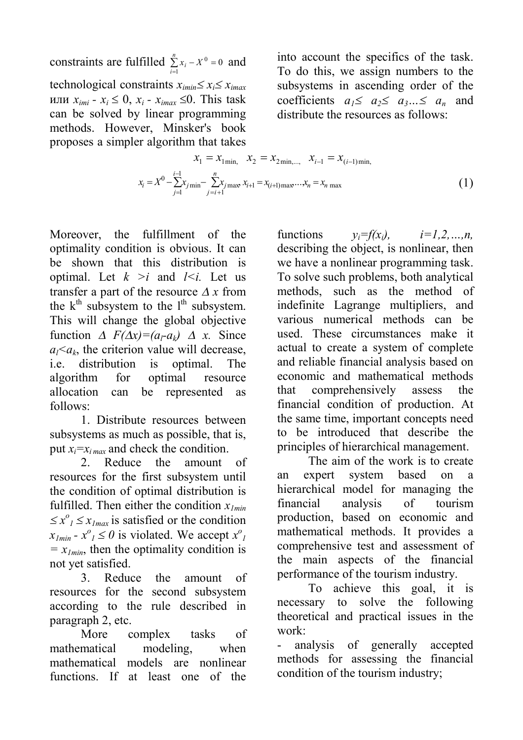constraints are fulfilled  $\sum_{i=1}^{n}$  $\sum_{i=1}^{n} x_i - X^0 =$  $\sum_{i=1}$   $x_i$   $-X$  $0 = 0$  and technological constraints  $x_{\text{imin}} \leq x_i \leq x_{\text{imax}}$ или  $x_{imi}$  *-*  $x_i \leq 0$ ,  $x_i$  *-*  $x_{imax} \leq 0$ . This task can be solved by linear programming methods. However, Minsker's book proposes a simpler algorithm that takes

into account the specifics of the task. To do this, we assign numbers to the subsystems in ascending order of the coefficients  $a_1 \le a_2 \le a_3 \le a_n$  and distribute the resources as follows:

$$
x_1 = x_{1\min}, \quad x_2 = x_{2\min,\dots}, \quad x_{i-1} = x_{(i-1)\min},
$$

$$
x_i = X^0 - \sum_{j=1}^{i-1} x_{j\min} - \sum_{j=i+1}^{n} x_{j\max} x_{i+1} = x_{(i+1)\max} \dots x_n = x_n \max
$$
(1)

Moreover, the fulfillment of the optimality condition is obvious. It can be shown that this distribution is optimal. Let  $k > i$  and  $l < i$ . Let us transfer a part of the resource  $\Delta x$  from the  $k<sup>th</sup>$  subsystem to the  $l<sup>th</sup>$  subsystem. This will change the global objective function  $\Delta F(\Delta x) = (a_1 - a_k) \Delta x$ . Since  $a_l$ lue oriterion value will decrease, i.e. distribution is optimal. The algorithm for optimal resource allocation can be represented as follows:

1. Distribute resources between subsystems as much as possible, that is, put  $x_i = x_i_{max}$  and check the condition.

2. Reduce the amount of resources for the first subsystem until the condition of optimal distribution is fulfilled. Then either the condition  $x_{lmin}$  $\leq x^{\circ}$ <sub>*l*</sub>  $\leq x$ <sub>*lmax*</sub> is satisfied or the condition  $x_{1min} - x^{\circ}$  *z*  $\leq 0$  is violated. We accept  $x^{\circ}$ *1*   $= x_{Imin}$ , then the optimality condition is not yet satisfied.

3. Reduce the amount of resources for the second subsystem according to the rule described in paragraph 2, etc.

More complex tasks of mathematical modeling, when mathematical models are nonlinear functions. If at least one of the

functions  $v_i = f(x_i)$ ,  $i = 1, 2, ..., n$ , describing the object, is nonlinear, then we have a nonlinear programming task. To solve such problems, both analytical methods, such as the method of indefinite Lagrange multipliers, and various numerical methods can be used. These circumstances make it actual to create a system of complete and reliable financial analysis based on economic and mathematical methods that comprehensively assess the financial condition of production. At the same time, important concepts need to be introduced that describe the principles of hierarchical management.

The aim of the work is to create an expert system based on a hierarchical model for managing the financial analysis of tourism production, based on economic and mathematical methods. It provides a comprehensive test and assessment of the main aspects of the financial performance of the tourism industry.

To achieve this goal, it is necessary to solve the following theoretical and practical issues in the work:

- analysis of generally accepted methods for assessing the financial condition of the tourism industry;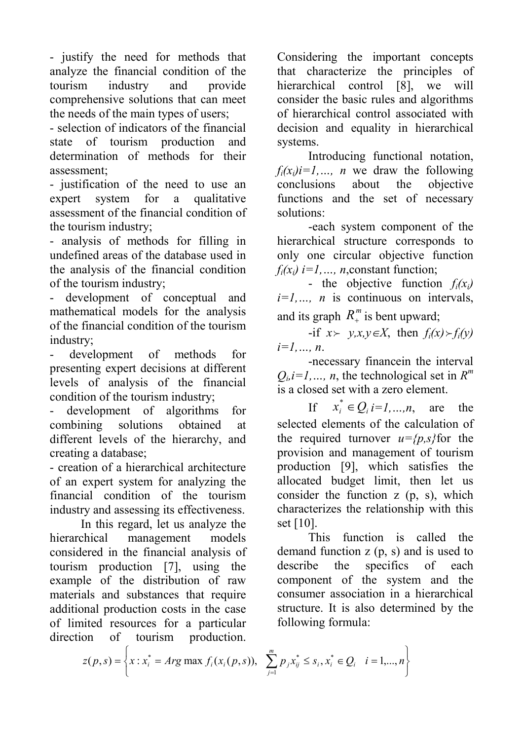- justify the need for methods that analyze the financial condition of the tourism industry and provide comprehensive solutions that can meet the needs of the main types of users;

- selection of indicators of the financial state of tourism production and determination of methods for their assessment;

- justification of the need to use an expert system for a qualitative assessment of the financial condition of the tourism industry;

- analysis of methods for filling in undefined areas of the database used in the analysis of the financial condition of the tourism industry;

- development of conceptual and mathematical models for the analysis of the financial condition of the tourism industry;

- development of methods for presenting expert decisions at different levels of analysis of the financial condition of the tourism industry;

- development of algorithms for combining solutions obtained at different levels of the hierarchy, and creating a database;

- creation of a hierarchical architecture of an expert system for analyzing the financial condition of the tourism industry and assessing its effectiveness.

In this regard, let us analyze the hierarchical management models considered in the financial analysis of tourism production [7], using the example of the distribution of raw materials and substances that require additional production costs in the case of limited resources for a particular direction of tourism production.

Considering the important concepts that characterize the principles of hierarchical control [8], we will consider the basic rules and algorithms of hierarchical control associated with decision and equality in hierarchical systems.

Introducing functional notation,  $f_i(x_i)i=1,\ldots$ , *n* we draw the following conclusions about the objective functions and the set of necessary solutions:

-each system component of the hierarchical structure corresponds to only one circular objective function  $f_i(x_i)$  *i*=1, ..., *n*, constant function;

- the objective function  $f_i(x_i)$ *i=1,…, n* is continuous on intervals, and its graph  $R_+^m$  is bent upward;

 $-i$ f  $x > y, x, y \in X$ , then  $f_i(x) > f_i(y)$ *i=1,…, n*.

-necessary financein the interval  $Q_i$ , *i*=1, ..., *n*, the technological set in  $R^m$ is a closed set with a zero element.

If  $x_i^* \in Q_i \ i=1,...,n$ , are the selected elements of the calculation of the required turnover  $u = {p, s}$  for the provision and management of tourism production [9], which satisfies the allocated budget limit, then let us consider the function z (p, s), which characterizes the relationship with this set [10].

This function is called the demand function z (p, s) and is used to describe the specifics of each component of the system and the consumer association in a hierarchical structure. It is also determined by the following formula:

$$
z(p,s) = \left\{ x : x_i^* = Arg \max f_i(x_i(p,s)), \sum_{j=1}^m p_j x_{ij}^* \le s_i, x_i^* \in Q_i \mid i = 1,...,n \right\}
$$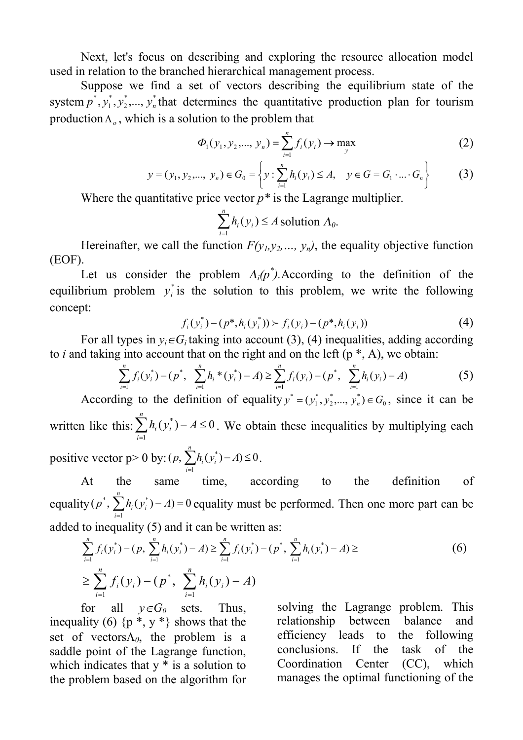Next, let's focus on describing and exploring the resource allocation model used in relation to the branched hierarchical management process.

Suppose we find a set of vectors describing the equilibrium state of the system  $p^*, y_1^*, y_2^*, ..., y_n^*$ 2 \* 1  $p^*, y_1^*, y_2^*, \ldots, y_n^*$  that determines the quantitative production plan for tourism production  $\Lambda$ <sub>o</sub>, which is a solution to the problem that

$$
\Phi_1(y_1, y_2, ..., y_n) = \sum_{i=1}^n f_i(y_i) \to \max_{y}
$$
 (2)

$$
y = (y_1, y_2, ..., y_n) \in G_0 = \left\{ y : \sum_{i=1}^n h_i(y_i) \le A, \quad y \in G = G_1 \cdot ... \cdot G_n \right\}
$$
 (3)

Where the quantitative price vector  $p^*$  is the Lagrange multiplier.

$$
\sum_{i=1}^{n} h_i(y_i) \le A \text{ solution } \Lambda_0.
$$

Hereinafter, we call the function  $F(y_1, y_2, ..., y_n)$ , the equality objective function (EOF).

Let us consider the problem  $\Lambda_i(p^*)$ . According to the definition of the equilibrium problem  $y_i^*$  $y_i$ <sup>\*</sup> is the solution to this problem, we write the following concept:

$$
f_i(y_i^*) - (p^*, h_i(y_i^*)) \succ f_i(y_i) - (p^*, h_i(y_i))
$$
\n(4)

For all types in  $y_i \in G_i$  taking into account (3), (4) inequalities, adding according to *i* and taking into account that on the right and on the left  $(p^*, A)$ , we obtain:

$$
\sum_{i=1}^{n} f_i(y_i^*) - (p^*, \sum_{i=1}^{n} h_i^*(y_i^*) - A) \ge \sum_{i=1}^{n} f_i(y_i) - (p^*, \sum_{i=1}^{n} h_i(y_i) - A)
$$
 (5)

According to the definition of equality  $y^* = (y_1^*, y_2^*, \dots, y_n^*) \in G_0$ 2 \* 1  $y^* = (y_1^*, y_2^*, \dots, y_n^*) \in G_0$ , since it can be written like this:  $\sum h_i(y_i^*) - A \leq 0$  $\sum_{i=1} h_i(y_i^*) - A \leq$ *n i*  $h_i(y_i^*) - A \le 0$ . We obtain these inequalities by multiplying each positive vector  $p > 0$  by:  $(p, \sum h_i(y_i^*) - A) \le 0$  $\sum_{i=1} h_i(y_i^*) - A \leq$ *n*  $p, \sum h_i(y_i^*) - A \leq 0$ .

*i* At the same time, according to the definition of equality ( $p^*$ ,  $\sum h_i(y_i^*) - A = 0$ \*,  $\sum_{i=1}^{8} h_i(y_i^*) - A$ ) = *n i*  $p^*$ ,  $\sum h_i(y_i^*) - A$  = 0 equality must be performed. Then one more part can be added to inequality (5) and it can be written as:

$$
\sum_{i=1}^{n} f_i(y_i^*) - (p, \sum_{i=1}^{n} h_i(y_i^*) - A) \ge \sum_{i=1}^{n} f_i(y_i^*) - (p^*, \sum_{i=1}^{n} h_i(y_i^*) - A) \ge
$$
\n
$$
\ge \sum_{i=1}^{n} f_i(y_i) - (p^*, \sum_{i=1}^{n} h_i(y_i) - A)
$$
\n(6)

for all  $y \in G_0$  sets. Thus, inequality (6)  $\{p^*, y^*\}$  shows that the set of vectors $\Lambda_0$ , the problem is a saddle point of the Lagrange function, which indicates that  $y *$  is a solution to the problem based on the algorithm for

solving the Lagrange problem. This relationship between balance and efficiency leads to the following conclusions. If the task of the Coordination Center (CC), which manages the optimal functioning of the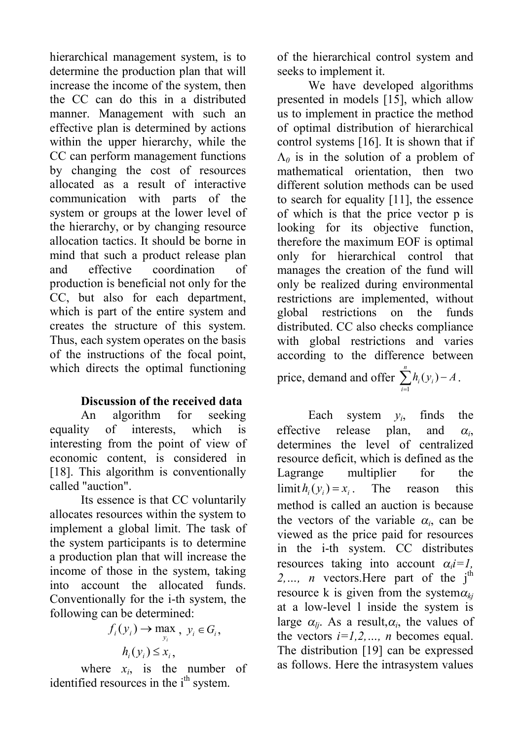hierarchical management system, is to determine the production plan that will increase the income of the system, then the CC can do this in a distributed manner. Management with such an effective plan is determined by actions within the upper hierarchy, while the CC can perform management functions by changing the cost of resources allocated as a result of interactive communication with parts of the system or groups at the lower level of the hierarchy, or by changing resource allocation tactics. It should be borne in mind that such a product release plan and effective coordination of production is beneficial not only for the CC, but also for each department, which is part of the entire system and creates the structure of this system. Thus, each system operates on the basis of the instructions of the focal point, which directs the optimal functioning

# **Discussion of the received data**

An algorithm for seeking equality of interests, which is interesting from the point of view of economic content, is considered in [18]. This algorithm is conventionally called "auction".

Its essence is that CC voluntarily allocates resources within the system to implement a global limit. The task of the system participants is to determine a production plan that will increase the income of those in the system, taking into account the allocated funds. Conventionally for the i-th system, the following can be determined:

$$
f_i(y_i) \to \max_{y_i}, y_i \in G_i,
$$
  

$$
h_i(y_i) \le x_i,
$$

where  $x_i$ , is the number of identified resources in the i<sup>th</sup> system.

of the hierarchical control system and seeks to implement it.

We have developed algorithms presented in models [15], which allow us to implement in practice the method of optimal distribution of hierarchical control systems [16]. It is shown that if  $\Lambda$ <sup>0</sup> is in the solution of a problem of mathematical orientation, then two different solution methods can be used to search for equality [11], the essence of which is that the price vector p is looking for its objective function, therefore the maximum EOF is optimal only for hierarchical control that manages the creation of the fund will only be realized during environmental restrictions are implemented, without global restrictions on the funds distributed. CC also checks compliance with global restrictions and varies according to the difference between price, demand and offer  $\sum_{i=1} h_i(y_i)$  – *n*  $h_i(y_i) - A$  $(y_i) - A$ .

Each system  $y_i$ , finds the effective release plan, and *<sup>a</sup><sup>i</sup>*  $\alpha_{i}$ determines the level of centralized resource deficit, which is defined as the Lagrange multiplier for the  $\lim_{h \to 0}$   $\lim_{h \to 0}$   $\lim_{h \to 0}$   $\lim_{h \to 0}$   $\lim_{h \to 0}$ method is called an auction is because the vectors of the variable  $\alpha_i$ , can be viewed as the price paid for resources in the i-th system. CC distributes resources taking into account  $\alpha_i = 1$ ,  $2, \ldots$ , *n* vectors. Here part of the j<sup>th</sup> resource k is given from the system $\alpha_{ki}$ at a low-level l inside the system is large  $\alpha_{lj}$ . As a result,  $\alpha_i$ , the values of the vectors  $i=1,2,..., n$  becomes equal. The distribution [19] can be expressed as follows. Here the intrasystem values

*i*

1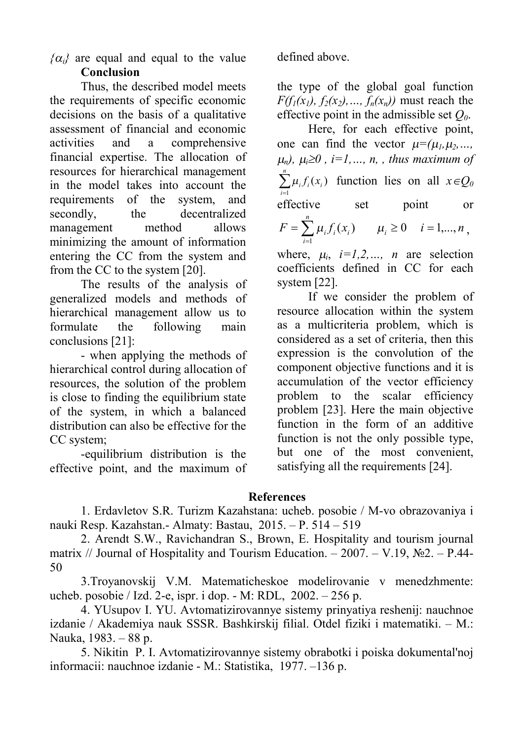$\{\alpha_i\}$  are equal and equal to the value defined above. **Conclusion** 

Thus, the described model meets the requirements of specific economic decisions on the basis of a qualitative assessment of financial and economic activities and a comprehensive financial expertise. The allocation of resources for hierarchical management in the model takes into account the requirements of the system, and secondly, the decentralized management method allows minimizing the amount of information entering the CC from the system and from the CC to the system [20].

The results of the analysis of generalized models and methods of hierarchical management allow us to formulate the following main conclusions [21]:

- when applying the methods of hierarchical control during allocation of resources, the solution of the problem is close to finding the equilibrium state of the system, in which a balanced distribution can also be effective for the CC system;

-equilibrium distribution is the effective point, and the maximum of

the type of the global goal function *F*( $f_1(x_1)$ ,  $f_2(x_2)$ , ...,  $f_n(x_n)$ ) must reach the effective point in the admissible set *Q0*.

Here, for each effective point, one can find the vector  $\mu = (\mu_1, \mu_2, \dots, \mu_n)$  $\mu_n$ ,  $\mu_i \geq 0$ ,  $i = 1, \ldots, n$ , *thus maximum of*  $\sum_{i=1}^n$ *i*  $\int_i f_i(x)$ 1  $\mu_i f_i(x_i)$  function lies on all  $x \in Q_0$ effective set point or  $=\sum_{i=1} \mu_i f_i(x_i)$   $\mu_i \ge 0$   $i=$ *n i*  $F = \sum \mu_i f_i(x_i)$   $\mu_i \ge 0$   $i = 1,...,n$ 1  $\mu_i f_i(x_i)$   $\mu_i \ge 0$   $i = 1,..., n$ ,

where,  $\mu_i$ ,  $i=1,2,..., n$  are selection coefficients defined in CC for each system [22].

If we consider the problem of resource allocation within the system as a multicriteria problem, which is considered as a set of criteria, then this expression is the convolution of the component objective functions and it is accumulation of the vector efficiency problem to the scalar efficiency problem [23]. Here the main objective function in the form of an additive function is not the only possible type, but one of the most convenient, satisfying all the requirements [24].

## **References**

1. Erdavletov S.R. Turizm Kazahstana: ucheb. posobie / M-vo obrazovaniya i nauki Resp. Kazahstan.- Almaty: Bastau, 2015. – P. 514 – 519

2. Arendt S.W., Ravichandran S., Brown, E. Hospitality and tourism journal matrix // Journal of Hospitality and Tourism Education. – 2007. – V.19,  $\mathbb{N}^2$ . – P.44-50

3.Troyanovskij V.M. Matematicheskoe modelirovanie v menedzhmente: ucheb. posobie / Izd. 2-e, ispr. i dop. - M: RDL, 2002. – 256 p.

4. YUsupov I. YU. Avtomatizirovannye sistemy prinyatiya reshenij: nauchnoe izdanie / Akademiya nauk SSSR. Bashkirskij filial. Otdel fiziki i matematiki. – M.: Nauka, 1983. – 88 p.

5. Nikitin P. I. Avtomatizirovannye sistemy obrabotki i poiska dokumental'noj informacii: nauchnoe izdanie - M.: Statistika, 1977. –136 p.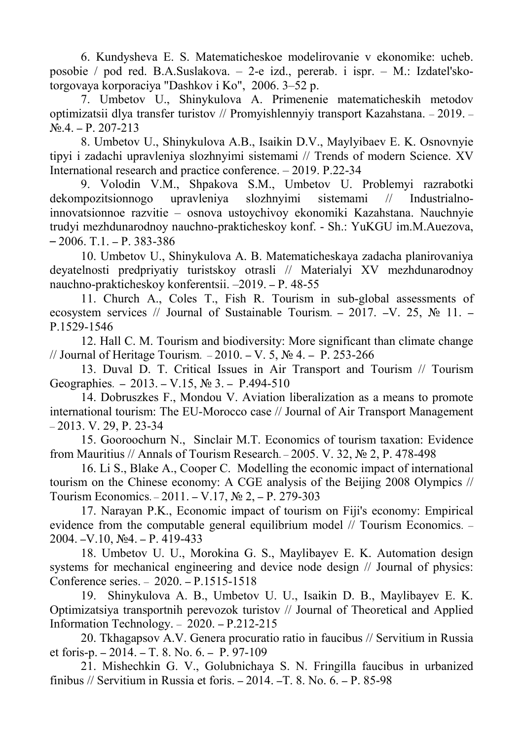6. Kundysheva E. S. Matematicheskoe modelirovanie v ekonomike: ucheb. posobie / pod red. B.A.Suslakova. – 2-e izd., pererab. i ispr. – M.: Izdatel'skotorgovaya korporaciya "Dashkov i Ko", 2006. 3–52 p.

7. Umbetov U., Shinykulova A. Primenenie matematicheskih metodov optimizatsii dlya transfer turistov // Promyishlennyiy transport Kazahstana. – 2019. –  $N_{2}$ .4. – P. 207-213

8. Umbetov U., Shinykulova A.B., Isaikin D.V., Maylyibaev E. K. Osnovnyie tipyi i zadachi upravleniya slozhnyimi sistemami // Trends of modern Science. XV International research and practice conference. – 2019. P.22-34

9. Volodin V.M., Shpakova S.M., Umbetov U. Problemyi razrabotki dekompozitsionnogo upravleniya slozhnyimi sistemami // Industrialnoinnovatsionnoe razvitie – osnova ustoychivoy ekonomiki Kazahstana. Nauchnyie trudyi mezhdunarodnoy nauchno-prakticheskoy konf. - Sh.: YuKGU im.M.Auezova,  $-2006$ . T.1.  $-$  P. 383-386

10. Umbetov U., Shinykulova A. B. Matematicheskaya zadacha planirovaniya deyatelnosti predpriyatiy turistskoy otrasli // Materialyi XV mezhdunarodnoy nauchno-prakticheskoy konferentsii. –2019. – P. 48-55

11. Church A., Coles T., Fish R. Tourism in sub-global assessments of ecosystem services // Journal of Sustainable Tourism. – 2017. –V. 25,  $\mathbb{N}_2$  11. – P.1529-1546

12. Hall C. M. Tourism and biodiversity: More significant than climate change // Journal of Heritage Tourism. – 2010. – V. 5, № 4. – P. 253-266

13. Duval D. T. Critical Issues in Air Transport and Tourism // Tourism Geographies. – 2013. – V.15, № 3. – P.494-510

14. Dobruszkes F., Mondou V. Aviation liberalization as a means to promote international tourism: The EU-Morocco case // Journal of Air Transport Management  $-2013$ . V. 29, P. 23-34

15. Gooroochurn N., Sinclair M.T. Economics of tourism taxation: Evidence from Mauritius // Annals of Tourism Research. – 2005. V. 32,  $\mathbb{N}$  2, P. 478-498

16. Li S., Blake A., Cooper C. Modelling the economic impact of international tourism on the Chinese economy: A CGE analysis of the Beijing 2008 Olympics // Tourism Economics. – 2011. – V.17, № 2, – P. 279-303

17. Narayan P.K., Economic impact of tourism on Fiji's economy: Empirical evidence from the computable general equilibrium model // Tourism Economics. – 2004. –V.10, №4. – P. 419-433

18. Umbetov U. U., Morokina G. S., Maylibayev E. K. Automation design systems for mechanical engineering and device node design // Journal of physics: Conference series. – 2020. – P.1515-1518

19. Shinykulova A. B., Umbetov U. U., Isaikin D. B., Maylibayev E. K. Optimizatsiya transportnih perevozok turistov // Journal of Theoretical and Applied Information Technology. – 2020. – P.212-215

20. Tkhagapsov A.V. Genera procuratio ratio in faucibus // Servitium in Russia et foris-p. – 2014. – T. 8. No. 6. – P. 97-109

21. Mishechkin G. V., Golubnichaya S. N. Fringilla faucibus in urbanized finibus // Servitium in Russia et foris. – 2014. –T. 8. No. 6. – P. 85-98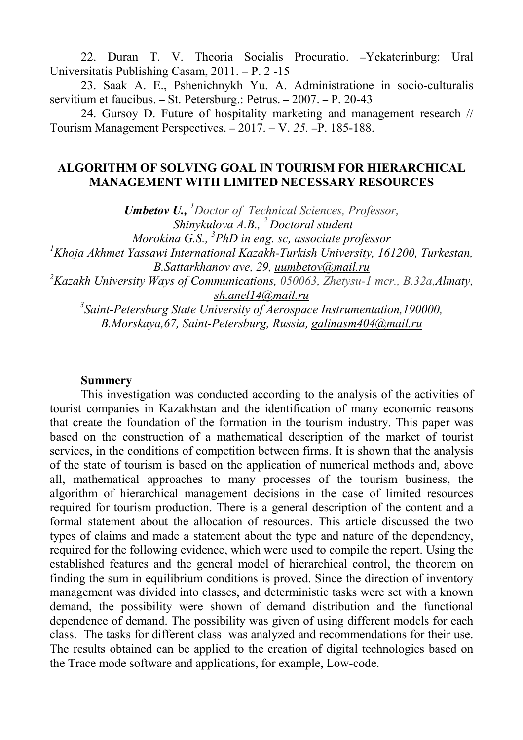22. Duran T. V. Theoria Socialis Procuratio. –Yekaterinburg: Ural Universitatis Publishing Casam, 2011. – P. 2 -15

23. Saak A. E., Pshenichnykh Yu. A. Administratione in socio-culturalis servitium et faucibus. – St. Petersburg.: Petrus. – 2007. – P. 20-43

24. Gursoy D. Future of hospitality marketing and management research // Tourism Management Perspectives. – 2017. – V. *25.* –P. 185-188.

## **ALGORITHM OF SOLVING GOAL IN TOURISM FOR HIERARCHICAL MANAGEMENT WITH LIMITED NECESSARY RESOURCES**

*Umbetov U., <sup>1</sup>Doctor of Technical Sciences, Professor, Shinykulova A.B., <sup>2</sup>Doctoral student Morokina G.S., 3 PhD in eng. sc, associate professor <sup>1</sup>Khoja Akhmet Yassawi International Kazakh-Turkish University, 161200, Turkestan, B.Sattarkhanov ave, 29, [uumbetov@mail.ru](mailto:uumbetov@mail.ru) <sup>2</sup>Kazakh University Ways of Communications, 050063, Zhetysu-1 mcr., B.32а,Almaty, [sh.anel14@mail.ru](mailto:sh.anel14@mail.ru) 3 Saint-Petersburg State University of Aerospace Instrumentation,190000, B.Morskaya,67, Saint-Petersburg, Russia, [galinasm404@mail.ru](mailto:galinasm404@mail.ru)*

#### **Summery**

This investigation was conducted according to the analysis of the activities of tourist companies in Kazakhstan and the identification of many economic reasons that create the foundation of the formation in the tourism industry. This paper was based on the construction of a mathematical description of the market of tourist services, in the conditions of competition between firms. It is shown that the analysis of the state of tourism is based on the application of numerical methods and, above all, mathematical approaches to many processes of the tourism business, the algorithm of hierarchical management decisions in the case of limited resources required for tourism production. There is a general description of the content and a formal statement about the allocation of resources. This article discussed the two types of claims and made a statement about the type and nature of the dependency, required for the following evidence, which were used to compile the report. Using the established features and the general model of hierarchical control, the theorem on finding the sum in equilibrium conditions is proved. Since the direction of inventory management was divided into classes, and deterministic tasks were set with a known demand, the possibility were shown of demand distribution and the functional dependence of demand. The possibility was given of using different models for each class. The tasks for different class was analyzed and recommendations for their use. The results obtained can be applied to the creation of digital technologies based on the Trace mode software and applications, for example, Low-code.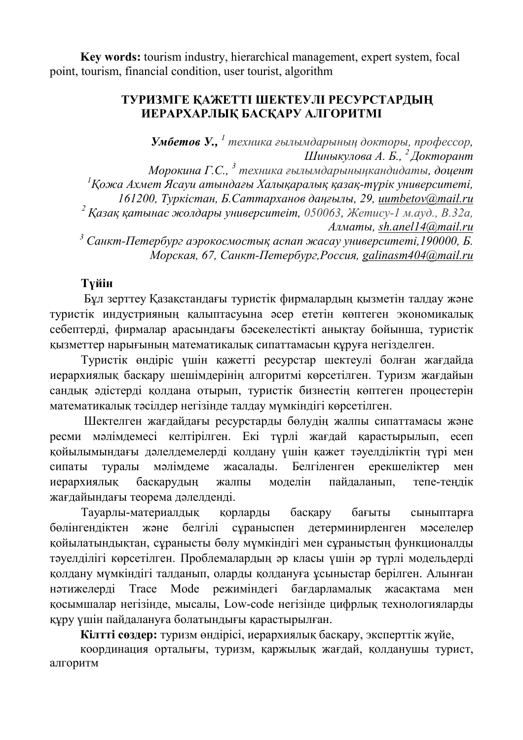**Key words:** tourism industry, hierarchical management, expert system, focal point, tourism, financial condition, user tourist, algorithm

# **ТУРИЗМГЕ ҚАЖЕТТІ ШЕКТЕУЛІ РЕСУРСТАРДЫҢ ИЕРАРХАРЛЫҚ БАСҚАРУ АЛГОРИТМІ**

*Умбетов У., 1 техника ғылымдарының докторы, профессор, Шиныкулова А. Б., <sup>2</sup>Докторант*

*Морокина Г.С., 3 техника ғылымдарыныңкандидаты, доцент <sup>1</sup>Қожа Ахмет Ясауи атындағы Халықаралық қазақ-түрік университеті, 161200, Туркістан, Б.Саттарханов даңғылы, 29, [uumbetov@mail.ru](mailto:uumbetov@mail.ru) <sup>2</sup> Қазақ қатынас жолдары университеіт, 050063, Жетису-1 м.ауд., B.32а, Алматы, [sh.anel14@mail.ru](mailto:sh.anel14@mail.ru) <sup>3</sup> Санкт-Петербург аэрокосмостық аспап жасау университеті,190000, Б.* 

*Морская, 67, Санкт-Петербург,Россия, [galinasm404@mail.ru](mailto:galinasm404@mail.ru)* 

# **Түйін**

Бұл зерттеу Қазақстандағы туристік фирмалардың қызметін талдау және туристік индустрияның қалыптасуына әсер ететін көптеген экономикалық себептерді, фирмалар арасындағы бәсекелестікті анықтау бойынша, туристік қызметтер нарығының математикалық сипаттамасын құруға негізделген.

Туристік өндіріс үшін қажетті ресурстар шектеулі болған жағдайда иерархиялық басқару шешімдерінің алгоритмі көрсетілген. Туризм жағдайын сандық әдістерді қолдана отырып, туристік бизнестің көптеген процестерін математикалық тәсілдер негізінде талдау мүмкіндігі көрсетілген.

Шектелген жағдайдағы ресурстарды бөлудің жалпы сипаттамасы және ресми мәлімдемесі келтірілген. Екі түрлі жағдай қарастырылып, есеп қойылымындағы дәлелдемелерді қолдану үшін қажет тәуелділіктің түрі мен сипаты туралы мәлімдеме жасалады. Белгіленген ерекшеліктер мен иерархиялық басқарудың жалпы моделін пайдаланып, тепе-теңдік жағдайындағы теорема дәлелденді.

Тауарлы-материалдық қорларды басқару бағыты сыныптарға бөлінгендіктен және белгілі сұраныспен детерминирленген мәселелер қойылатындықтан, сұранысты бөлу мүмкіндігі мен сұраныстың функционалды тәуелділігі көрсетілген. Проблемалардың әр класы үшін әр түрлі модельдерді қолдану мүмкіндігі талданып, оларды қолдануға ұсыныстар берілген. Алынған нәтижелерді Trace Mode режиміндегі бағдарламалық жасақтама мен қосымшалар негізінде, мысалы, Low-code негізінде цифрлық технологияларды құру үшін пайдалануға болатындығы қарастырылған.

**Кілтті сөздер:** туризм өндірісі, иерархиялық басқару, эксперттік жүйе,

координация орталығы, туризм, қаржылық жағдай, қолданушы турист, алгоритм